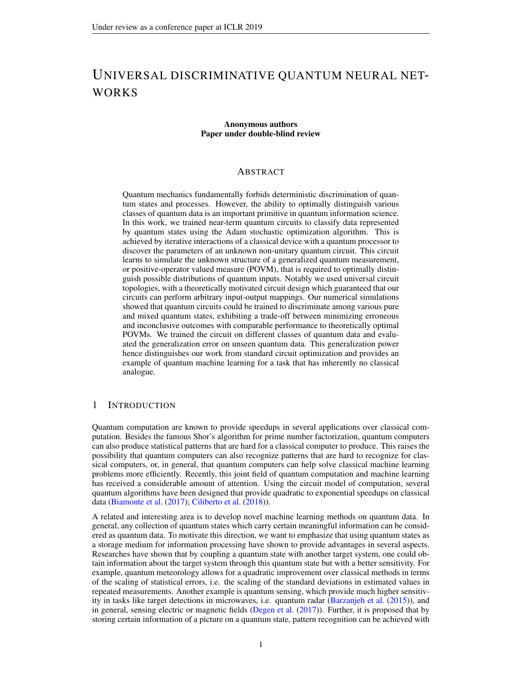# UNIVERSAL DISCRIMINATIVE QUANTUM NEURAL NET-WORKS

#### Anonymous authors Paper under double-blind review

## ABSTRACT

Quantum mechanics fundamentally forbids deterministic discrimination of quantum states and processes. However, the ability to optimally distinguish various classes of quantum data is an important primitive in quantum information science. In this work, we trained near-term quantum circuits to classify data represented by quantum states using the Adam stochastic optimization algorithm. This is achieved by iterative interactions of a classical device with a quantum processor to discover the parameters of an unknown non-unitary quantum circuit. This circuit learns to simulate the unknown structure of a generalized quantum measurement, or positive-operator valued measure (POVM), that is required to optimally distinguish possible distributions of quantum inputs. Notably we used universal circuit topologies, with a theoretically motivated circuit design which guaranteed that our circuits can perform arbitrary input-output mappings. Our numerical simulations showed that quantum circuits could be trained to discriminate among various pure and mixed quantum states, exhibiting a trade-off between minimizing erroneous and inconclusive outcomes with comparable performance to theoretically optimal POVMs. We trained the circuit on different classes of quantum data and evaluated the generalization error on unseen quantum data. This generalization power hence distinguishes our work from standard circuit optimization and provides an example of quantum machine learning for a task that has inherently no classical analogue.

# 1 INTRODUCTION

Quantum computation are known to provide speedups in several applications over classical computation. Besides the famous Shor's algorithm for prime number factorization, quantum computers can also produce statistical patterns that are hard for a classical computer to produce. This raises the possibility that quantum computers can also recognize patterns that are hard to recognize for classical computers, or, in general, that quantum computers can help solve classical machine learning problems more efficiently. Recently, this joint field of quantum computation and machine learning has received a considerable amount of attention. Using the circuit model of computation, several quantum algorithms have been designed that provide quadratic to exponential speedups on classical data [\(Biamonte et al.](#page-9-0) [\(2017\)](#page-9-0); [Ciliberto et al.](#page-9-1) [\(2018\)](#page-9-1)).

A related and interesting area is to develop novel machine learning methods on quantum data. In general, any collection of quantum states which carry certain meaningful information can be considered as quantum data. To motivate this direction, we want to emphasize that using quantum states as a storage medium for information processing have shown to provide advantages in several aspects. Researches have shown that by coupling a quantum state with another target system, one could obtain information about the target system through this quantum state but with a better sensitivity. For example, quantum meteorology allows for a quadratic improvement over classical methods in terms of the scaling of statistical errors, i.e. the scaling of the standard deviations in estimated values in repeated measurements. Another example is quantum sensing, which provide much higher sensitivity in tasks like target detections in microwaves, i.e. quantum radar [\(Barzanjeh et al.](#page-9-2) [\(2015\)](#page-9-2)), and in general, sensing electric or magnetic fields [\(Degen et al.](#page-9-3) [\(2017\)](#page-9-3)). Further, it is proposed that by storing certain information of a picture on a quantum state, pattern recognition can be achieved with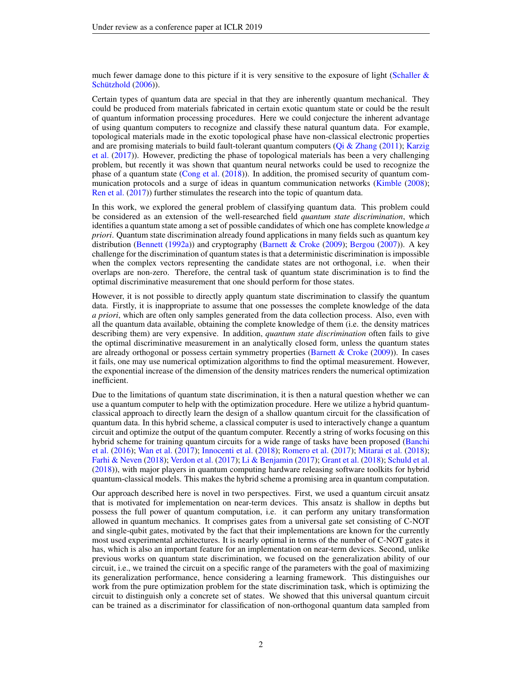much fewer damage done to this picture if it is very sensitive to the exposure of light (Schaller  $\&$ Schützhold [\(2006\)](#page-11-0)).

Certain types of quantum data are special in that they are inherently quantum mechanical. They could be produced from materials fabricated in certain exotic quantum state or could be the result of quantum information processing procedures. Here we could conjecture the inherent advantage of using quantum computers to recognize and classify these natural quantum data. For example, topological materials made in the exotic topological phase have non-classical electronic properties and are promising materials to build fault-tolerant quantum computers [\(Qi & Zhang](#page-10-0) [\(2011\)](#page-10-0); [Karzig](#page-10-1) [et al.](#page-10-1) [\(2017\)](#page-10-1)). However, predicting the phase of topological materials has been a very challenging problem, but recently it was shown that quantum neural networks could be used to recognize the phase of a quantum state [\(Cong et al.](#page-9-4) [\(2018\)](#page-9-4)). In addition, the promised security of quantum com-munication protocols and a surge of ideas in quantum communication networks [\(Kimble](#page-10-2) [\(2008\)](#page-10-2); [Ren et al.](#page-10-3) [\(2017\)](#page-10-3)) further stimulates the research into the topic of quantum data.

In this work, we explored the general problem of classifying quantum data. This problem could be considered as an extension of the well-researched field *quantum state discrimination*, which identifies a quantum state among a set of possible candidates of which one has complete knowledge *a priori*. Quantum state discrimination already found applications in many fields such as quantum key distribution [\(Bennett](#page-9-5) [\(1992a\)](#page-9-5)) and cryptography [\(Barnett & Croke](#page-9-6) [\(2009\)](#page-9-6); [Bergou](#page-9-7) [\(2007\)](#page-9-7)). A key challenge for the discrimination of quantum states is that a deterministic discrimination is impossible when the complex vectors representing the candidate states are not orthogonal, i.e. when their overlaps are non-zero. Therefore, the central task of quantum state discrimination is to find the optimal discriminative measurement that one should perform for those states.

However, it is not possible to directly apply quantum state discrimination to classify the quantum data. Firstly, it is inappropriate to assume that one possesses the complete knowledge of the data *a priori*, which are often only samples generated from the data collection process. Also, even with all the quantum data available, obtaining the complete knowledge of them (i.e. the density matrices describing them) are very expensive. In addition, *quantum state discrimination* often fails to give the optimal discriminative measurement in an analytically closed form, unless the quantum states are already orthogonal or possess certain symmetry properties [\(Barnett & Croke](#page-9-6)  $(2009)$ ). In cases it fails, one may use numerical optimization algorithms to find the optimal measurement. However, the exponential increase of the dimension of the density matrices renders the numerical optimization inefficient.

Due to the limitations of quantum state discrimination, it is then a natural question whether we can use a quantum computer to help with the optimization procedure. Here we utilize a hybrid quantumclassical approach to directly learn the design of a shallow quantum circuit for the classification of quantum data. In this hybrid scheme, a classical computer is used to interactively change a quantum circuit and optimize the output of the quantum computer. Recently a string of works focusing on this hybrid scheme for training quantum circuits for a wide range of tasks have been proposed [\(Banchi](#page-9-8) [et al.](#page-9-8) [\(2016\)](#page-9-8); [Wan et al.](#page-11-1) [\(2017\)](#page-11-1); [Innocenti et al.](#page-10-4) [\(2018\)](#page-10-4); [Romero et al.](#page-11-2) [\(2017\)](#page-11-2); [Mitarai et al.](#page-10-5) [\(2018\)](#page-10-5); [Farhi & Neven](#page-9-9) [\(2018\)](#page-9-9); [Verdon et al.](#page-11-3) [\(2017\)](#page-11-3); [Li & Benjamin](#page-10-6) [\(2017\)](#page-10-6); [Grant et al.](#page-9-10) [\(2018\)](#page-9-10); [Schuld et al.](#page-11-4) [\(2018\)](#page-11-4)), with major players in quantum computing hardware releasing software toolkits for hybrid quantum-classical models. This makes the hybrid scheme a promising area in quantum computation.

Our approach described here is novel in two perspectives. First, we used a quantum circuit ansatz that is motivated for implementation on near-term devices. This ansatz is shallow in depths but possess the full power of quantum computation, i.e. it can perform any unitary transformation allowed in quantum mechanics. It comprises gates from a universal gate set consisting of C-NOT and single-qubit gates, motivated by the fact that their implementations are known for the currently most used experimental architectures. It is nearly optimal in terms of the number of C-NOT gates it has, which is also an important feature for an implementation on near-term devices. Second, unlike previous works on quantum state discrimination, we focused on the generalization ability of our circuit, i.e., we trained the circuit on a specific range of the parameters with the goal of maximizing its generalization performance, hence considering a learning framework. This distinguishes our work from the pure optimization problem for the state discrimination task, which is optimizing the circuit to distinguish only a concrete set of states. We showed that this universal quantum circuit can be trained as a discriminator for classification of non-orthogonal quantum data sampled from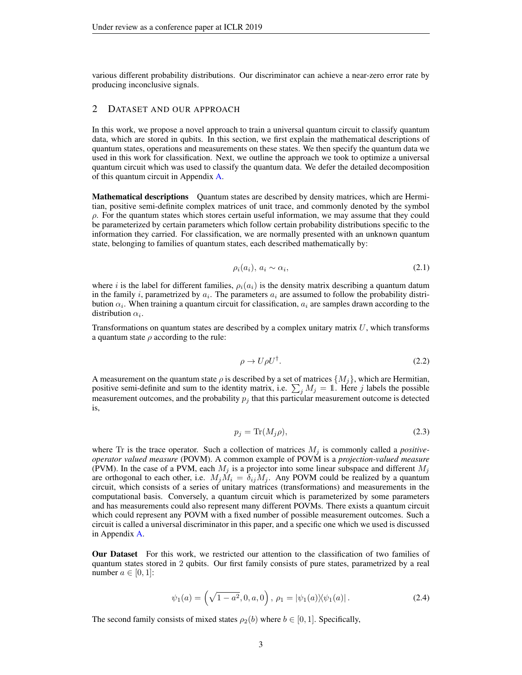various different probability distributions. Our discriminator can achieve a near-zero error rate by producing inconclusive signals.

# 2 DATASET AND OUR APPROACH

In this work, we propose a novel approach to train a universal quantum circuit to classify quantum data, which are stored in qubits. In this section, we first explain the mathematical descriptions of quantum states, operations and measurements on these states. We then specify the quantum data we used in this work for classification. Next, we outline the approach we took to optimize a universal quantum circuit which was used to classify the quantum data. We defer the detailed decomposition of this quantum circuit in Appendix [A.](#page-12-0)

**Mathematical descriptions** Quantum states are described by density matrices, which are Hermitian, positive semi-definite complex matrices of unit trace, and commonly denoted by the symbol  $\rho$ . For the quantum states which stores certain useful information, we may assume that they could be parameterized by certain parameters which follow certain probability distributions specific to the information they carried. For classification, we are normally presented with an unknown quantum state, belonging to families of quantum states, each described mathematically by:

$$
\rho_i(a_i), \, a_i \sim \alpha_i,\tag{2.1}
$$

where i is the label for different families,  $\rho_i(a_i)$  is the density matrix describing a quantum datum in the family *i*, parametrized by  $a_i$ . The parameters  $a_i$  are assumed to follow the probability distribution  $\alpha_i$ . When training a quantum circuit for classification,  $a_i$  are samples drawn according to the distribution  $\alpha_i$ .

Transformations on quantum states are described by a complex unitary matrix  $U$ , which transforms a quantum state  $\rho$  according to the rule:

$$
\rho \to U \rho U^{\dagger}.
$$
\n(2.2)

A measurement on the quantum state  $\rho$  is described by a set of matrices  $\{M_i\}$ , which are Hermitian, positive semi-definite and sum to the identity matrix, i.e.  $\sum_j M_j = 1$ . Here j labels the possible measurement outcomes, and the probability  $p_i$  that this particular measurement outcome is detected is,

$$
p_j = \text{Tr}(M_j \rho),\tag{2.3}
$$

where  $Tr$  is the trace operator. Such a collection of matrices  $M_j$  is commonly called a *positiveoperator valued measure* (POVM). A common example of POVM is a *projection-valued measure* (PVM). In the case of a PVM, each  $M_j$  is a projector into some linear subspace and different  $M_j$ are orthogonal to each other, i.e.  $M_j \dot{M}_i = \delta_{ij} M_j$ . Any POVM could be realized by a quantum circuit, which consists of a series of unitary matrices (transformations) and measurements in the computational basis. Conversely, a quantum circuit which is parameterized by some parameters and has measurements could also represent many different POVMs. There exists a quantum circuit which could represent any POVM with a fixed number of possible measurement outcomes. Such a circuit is called a universal discriminator in this paper, and a specific one which we used is discussed in Appendix [A.](#page-12-0)

Our Dataset For this work, we restricted our attention to the classification of two families of quantum states stored in 2 qubits. Our first family consists of pure states, parametrized by a real number  $a \in [0, 1]$ :

<span id="page-2-0"></span>
$$
\psi_1(a) = \left(\sqrt{1 - a^2}, 0, a, 0\right), \ \rho_1 = |\psi_1(a)\rangle\langle\psi_1(a)|. \tag{2.4}
$$

The second family consists of mixed states  $\rho_2(b)$  where  $b \in [0, 1]$ . Specifically,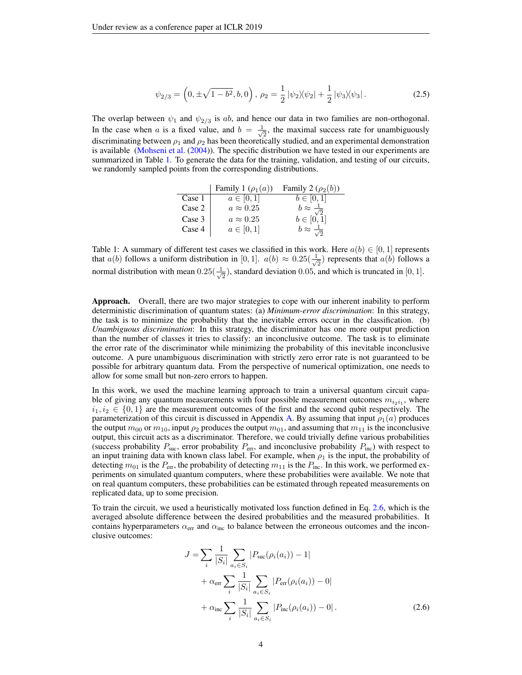$$
\psi_{2/3} = \left(0, \pm \sqrt{1 - b^2}, b, 0\right), \ \rho_2 = \frac{1}{2} |\psi_2\rangle\langle\psi_2| + \frac{1}{2} |\psi_3\rangle\langle\psi_3| \,. \tag{2.5}
$$

The overlap between  $\psi_1$  and  $\psi_{2/3}$  is ab, and hence our data in two families are non-orthogonal. In the case when a is a fixed value, and  $b = \frac{1}{\sqrt{2}}$  $\frac{1}{2}$ , the maximal success rate for unambiguously discriminating between  $\rho_1$  and  $\rho_2$  has been theoretically studied, and an experimental demonstration is available [\(Mohseni et al.](#page-10-7) [\(2004\)](#page-10-7)). The specific distribution we have tested in our experiments are summarized in Table [1.](#page-3-0) To generate the data for the training, validation, and testing of our circuits, we randomly sampled points from the corresponding distributions.

<span id="page-3-2"></span>

|        | Family 1 $(\rho_1(a))$ | Family 2 $(\rho_2(b))$         |
|--------|------------------------|--------------------------------|
| Case 1 | $a\in[0,\overline{1}]$ | $b \in [0, 1]$                 |
| Case 2 | $a \approx 0.25$       | $b \approx \frac{1}{\epsilon}$ |
| Case 3 | $a \approx 0.25$       | $b \in [0, 1]$                 |
| Case 4 | $a \in [0,1]$          | $b \approx -$                  |

<span id="page-3-0"></span>Table 1: A summary of different test cases we classified in this work. Here  $a(b) \in [0, 1]$  represents that  $a(b)$  follows a uniform distribution in [0, 1].  $a(b) \approx 0.25(\frac{1}{a})$  $\frac{1}{2}$ ) represents that  $a(b)$  follows a normal distribution with mean  $0.25(\frac{1}{\sqrt{2}})$  $\overline{z}_{\overline{2}}$ ), standard deviation 0.05, and which is truncated in [0, 1].

Approach. Overall, there are two major strategies to cope with our inherent inability to perform deterministic discrimination of quantum states: (a) *Minimum-error discrimination*: In this strategy, the task is to minimize the probability that the inevitable errors occur in the classification. (b) *Unambiguous discrimination*: In this strategy, the discriminator has one more output prediction than the number of classes it tries to classify: an inconclusive outcome. The task is to eliminate the error rate of the discriminator while minimizing the probability of this inevitable inconclusive outcome. A pure unambiguous discrimination with strictly zero error rate is not guaranteed to be possible for arbitrary quantum data. From the perspective of numerical optimization, one needs to allow for some small but non-zero errors to happen.

In this work, we used the machine learning approach to train a universal quantum circuit capable of giving any quantum measurements with four possible measurement outcomes  $m_{i_2i_1}$ , where  $i_1, i_2 \in \{0, 1\}$  are the measurement outcomes of the first and the second qubit respectively. The parameterization of this circuit is discussed in Appendix [A.](#page-12-0) By assuming that input  $\rho_1(a)$  produces the output  $m_{00}$  or  $m_{10}$ , input  $\rho_2$  produces the output  $m_{01}$ , and assuming that  $m_{11}$  is the inconclusive output, this circuit acts as a discriminator. Therefore, we could trivially define various probabilities (success probability  $P_{\text{sur}}$ , error probability  $P_{\text{err}}$ , and inconclusive probability  $P_{\text{inc}}$ ) with respect to an input training data with known class label. For example, when  $\rho_1$  is the input, the probability of detecting  $m_{01}$  is the  $P_{\text{err}}$ , the probability of detecting  $m_{11}$  is the  $P_{\text{inc}}$ . In this work, we performed experiments on simulated quantum computers, where these probabilities were available. We note that on real quantum computers, these probabilities can be estimated through repeated measurements on replicated data, up to some precision.

To train the circuit, we used a heuristically motivated loss function defined in Eq. [2.6,](#page-3-1) which is the averaged absolute difference between the desired probabilities and the measured probabilities. It contains hyperparameters  $\alpha_{\text{err}}$  and  $\alpha_{\text{inc}}$  to balance between the erroneous outcomes and the inconclusive outcomes:

<span id="page-3-1"></span>
$$
J = \sum_{i} \frac{1}{|S_i|} \sum_{a_i \in S_i} |P_{\text{suc}}(\rho_i(a_i)) - 1| + \alpha_{\text{err}} \sum_{i} \frac{1}{|S_i|} \sum_{a_i \in S_i} |P_{\text{err}}(\rho_i(a_i)) - 0| + \alpha_{\text{inc}} \sum_{i} \frac{1}{|S_i|} \sum_{a_i \in S_i} |P_{\text{inc}}(\rho_i(a_i)) - 0|.
$$
 (2.6)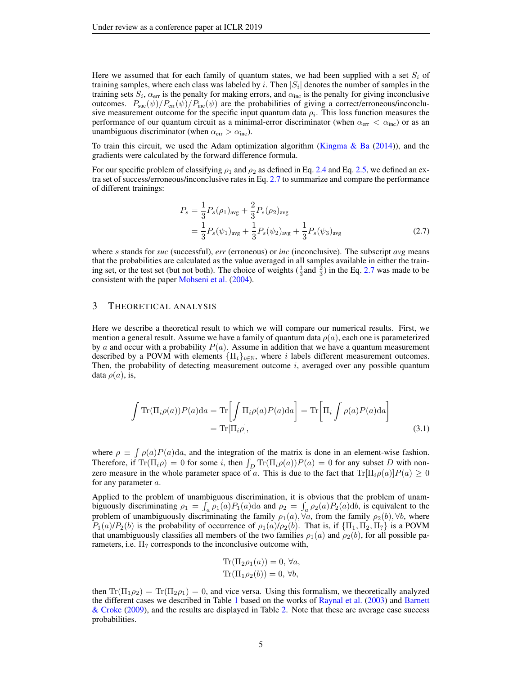Here we assumed that for each family of quantum states, we had been supplied with a set  $S_i$  of training samples, where each class was labeled by i. Then  $|S_i|$  denotes the number of samples in the training sets  $S_i$ ,  $\alpha_{\text{err}}$  is the penalty for making errors, and  $\alpha_{\text{inc}}$  is the penalty for giving inconclusive outcomes.  $P_{\text{sur}}(\psi)/P_{\text{err}}(\psi)/P_{\text{inc}}(\psi)$  are the probabilities of giving a correct/erroneous/inconclusive measurement outcome for the specific input quantum data  $\rho_i$ . This loss function measures the performance of our quantum circuit as a minimal-error discriminator (when  $\alpha_{\rm err} < \alpha_{\rm inc}$ ) or as an unambiguous discriminator (when  $\alpha_{\text{err}} > \alpha_{\text{inc}}$ ).

To train this circuit, we used the Adam optimization algorithm [\(Kingma & Ba](#page-10-8)  $(2014)$ ), and the gradients were calculated by the forward difference formula.

For our specific problem of classifying  $\rho_1$  and  $\rho_2$  as defined in Eq. [2.4](#page-2-0) and Eq. [2.5,](#page-3-2) we defined an extra set of success/erroneous/inconclusive rates in Eq. [2.7](#page-4-0) to summarize and compare the performance of different trainings:

<span id="page-4-0"></span>
$$
P_s = \frac{1}{3} P_s(\rho_1)_{\text{avg}} + \frac{2}{3} P_s(\rho_2)_{\text{avg}}
$$
  
=  $\frac{1}{3} P_s(\psi_1)_{\text{avg}} + \frac{1}{3} P_s(\psi_2)_{\text{avg}} + \frac{1}{3} P_s(\psi_3)_{\text{avg}}$  (2.7)

where s stands for *suc* (successful), *err* (erroneous) or *inc* (inconclusive). The subscript *avg* means that the probabilities are calculated as the value averaged in all samples available in either the training set, or the test set (but not both). The choice of weights  $(\frac{1}{3}$  and  $\frac{2}{3})$  in the Eq. [2.7](#page-4-0) was made to be consistent with the paper [Mohseni et al.](#page-10-7) [\(2004\)](#page-10-7).

### <span id="page-4-1"></span>3 THEORETICAL ANALYSIS

Here we describe a theoretical result to which we will compare our numerical results. First, we mention a general result. Assume we have a family of quantum data  $\rho(a)$ , each one is parameterized by a and occur with a probability  $P(a)$ . Assume in addition that we have a quantum measurement described by a POVM with elements  $\{\Pi_i\}_{i\in\mathbb{N}}$ , where i labels different measurement outcomes. Then, the probability of detecting measurement outcome  $i$ , averaged over any possible quantum data  $\rho(a)$ , is,

$$
\int \operatorname{Tr}(\Pi_i \rho(a)) P(a) da = \operatorname{Tr} \left[ \int \Pi_i \rho(a) P(a) da \right] = \operatorname{Tr} \left[ \Pi_i \int \rho(a) P(a) da \right]
$$
  
=  $\operatorname{Tr}[\Pi_i \rho],$  (3.1)

where  $\rho \equiv \int \rho(a)P(a)da$ , and the integration of the matrix is done in an element-wise fashion. Therefore, if  $\text{Tr}(\Pi_i \rho) = 0$  for some i, then  $\int_D \text{Tr}(\Pi_i \rho(a))P(a) = 0$  for any subset D with nonzero measure in the whole parameter space of a. This is due to the fact that  $\text{Tr}[\Pi_i \rho(a)]P(a) \geq 0$ for any parameter a.

Applied to the problem of unambiguous discrimination, it is obvious that the problem of unambiguously discriminating  $\rho_1 = \int_a \rho_1(a) P_1(a) da$  and  $\rho_2 = \int_a \rho_2(a) P_2(a) db$ , is equivalent to the problem of unambiguously discriminating the family  $\rho_1(a)$ ,  $\forall a$ , from the family  $\rho_2(b)$ ,  $\forall b$ , where  $P_1(a)/P_2(b)$  is the probability of occurrence of  $\rho_1(a)/\rho_2(b)$ . That is, if  $\{\Pi_1, \Pi_2, \Pi_7\}$  is a POVM that unambiguously classifies all members of the two families  $\rho_1(a)$  and  $\rho_2(b)$ , for all possible parameters, i.e.  $\Pi$ ? corresponds to the inconclusive outcome with,

$$
\text{Tr}(\Pi_2 \rho_1(a)) = 0, \forall a,
$$
  
\n
$$
\text{Tr}(\Pi_1 \rho_2(b)) = 0, \forall b,
$$

then  $Tr(\Pi_1 \rho_2) = Tr(\Pi_2 \rho_1) = 0$ , and vice versa. Using this formalism, we theoretically analyzed the different cases we described in Table [1](#page-3-0) based on the works of [Raynal et al.](#page-10-9) [\(2003\)](#page-10-9) and [Barnett](#page-9-6) [& Croke](#page-9-6) [\(2009\)](#page-9-6), and the results are displayed in Table [2.](#page-5-0) Note that these are average case success probabilities.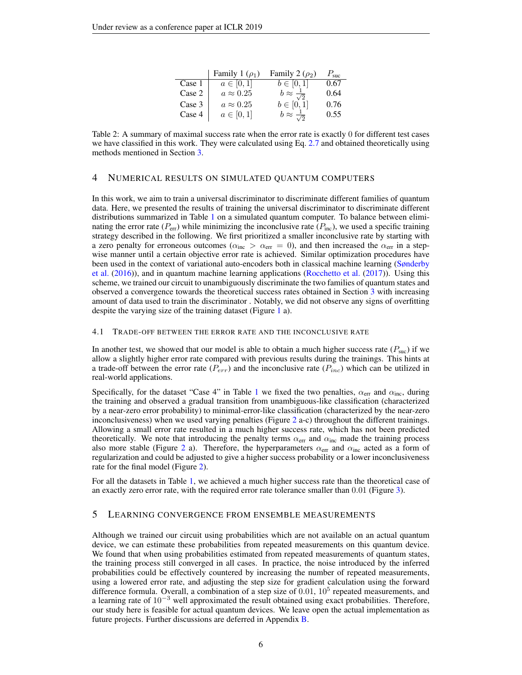|        | Family 1 $(\rho_1)$ | Family 2 $(\rho_2)$            | $P_{\rm suc}$ |
|--------|---------------------|--------------------------------|---------------|
| Case 1 | $a\in[0,1]$         | $b\in[0,1]$                    | 0.67          |
| Case 2 | $a \approx 0.25$    | $b \approx \frac{1}{\sqrt{2}}$ | 0.64          |
| Case 3 | $a \approx 0.25$    | $b \in [0, 1]$                 | 0.76          |
| Case 4 | $a \in [0,1]$       | $b \approx \frac{1}{\sqrt{2}}$ | 0.55          |

<span id="page-5-0"></span>Table 2: A summary of maximal success rate when the error rate is exactly 0 for different test cases we have classified in this work. They were calculated using Eq. [2.7](#page-4-0) and obtained theoretically using methods mentioned in Section [3.](#page-4-1)

# 4 NUMERICAL RESULTS ON SIMULATED QUANTUM COMPUTERS

In this work, we aim to train a universal discriminator to discriminate different families of quantum data. Here, we presented the results of training the universal discriminator to discriminate different distributions summarized in Table [1](#page-3-0) on a simulated quantum computer. To balance between eliminating the error rate  $(P_{\text{err}})$  while minimizing the inconclusive rate  $(P_{\text{inc}})$ , we used a specific training strategy described in the following. We first prioritized a smaller inconclusive rate by starting with a zero penalty for erroneous outcomes ( $\alpha_{\text{inc}} > \alpha_{\text{err}} = 0$ ), and then increased the  $\alpha_{\text{err}}$  in a stepwise manner until a certain objective error rate is achieved. Similar optimization procedures have been used in the context of variational auto-encoders both in classical machine learning [\(Sønderby](#page-11-5) [et al.](#page-11-5) [\(2016\)](#page-11-5)), and in quantum machine learning applications [\(Rocchetto et al.](#page-10-10) [\(2017\)](#page-10-10)). Using this scheme, we trained our circuit to unambiguously discriminate the two families of quantum states and observed a convergence towards the theoretical success rates obtained in Section [3](#page-4-1) with increasing amount of data used to train the discriminator . Notably, we did not observe any signs of overfitting despite the varying size of the training dataset (Figure [1](#page-6-0) a).

#### 4.1 TRADE-OFF BETWEEN THE ERROR RATE AND THE INCONCLUSIVE RATE

In another test, we showed that our model is able to obtain a much higher success rate  $(P_{\text{succ}})$  if we allow a slightly higher error rate compared with previous results during the trainings. This hints at a trade-off between the error rate  $(P_{err})$  and the inconclusive rate  $(P_{inc})$  which can be utilized in real-world applications.

Specifically, for the dataset "Case 4" in Table [1](#page-3-0) we fixed the two penalties,  $\alpha_{\rm err}$  and  $\alpha_{\rm inc}$ , during the training and observed a gradual transition from unambiguous-like classification (characterized by a near-zero error probability) to minimal-error-like classification (characterized by the near-zero inconclusiveness) when we used varying penalties (Figure [2](#page-7-0) a-c) throughout the different trainings. Allowing a small error rate resulted in a much higher success rate, which has not been predicted theoretically. We note that introducing the penalty terms  $\alpha_{\rm err}$  and  $\alpha_{\rm inc}$  made the training process also more stable (Figure [2](#page-7-0) a). Therefore, the hyperparameters  $\alpha_{\text{err}}$  and  $\alpha_{\text{inc}}$  acted as a form of regularization and could be adjusted to give a higher success probability or a lower inconclusiveness rate for the final model (Figure [2\)](#page-7-0).

For all the datasets in Table [1,](#page-3-0) we achieved a much higher success rate than the theoretical case of an exactly zero error rate, with the required error rate tolerance smaller than 0.01 (Figure [3\)](#page-8-0).

## 5 LEARNING CONVERGENCE FROM ENSEMBLE MEASUREMENTS

Although we trained our circuit using probabilities which are not available on an actual quantum device, we can estimate these probabilities from repeated measurements on this quantum device. We found that when using probabilities estimated from repeated measurements of quantum states, the training process still converged in all cases. In practice, the noise introduced by the inferred probabilities could be effectively countered by increasing the number of repeated measurements, using a lowered error rate, and adjusting the step size for gradient calculation using the forward difference formula. Overall, a combination of a step size of  $0.01$ ,  $10<sup>5</sup>$  repeated measurements, and a learning rate of  $10^{-3}$  well approximated the result obtained using exact probabilities. Therefore, our study here is feasible for actual quantum devices. We leave open the actual implementation as future projects. Further discussions are deferred in Appendix [B.](#page-13-0)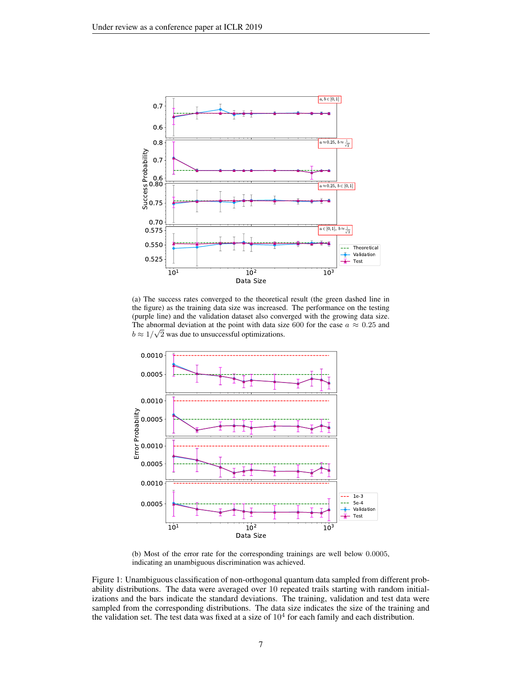

(a) The success rates converged to the theoretical result (the green dashed line in the figure) as the training data size was increased. The performance on the testing (purple line) and the validation dataset also converged with the growing data size. The abnormal deviation at the point with data size 600 for the case  $a \approx 0.25$  and  $b \approx 1/\sqrt{2}$  was due to unsuccessful optimizations.



<span id="page-6-0"></span>(b) Most of the error rate for the corresponding trainings are well below 0.0005, indicating an unambiguous discrimination was achieved.

Figure 1: Unambiguous classification of non-orthogonal quantum data sampled from different probability distributions. The data were averaged over 10 repeated trails starting with random initializations and the bars indicate the standard deviations. The training, validation and test data were sampled from the corresponding distributions. The data size indicates the size of the training and the validation set. The test data was fixed at a size of  $10<sup>4</sup>$  for each family and each distribution.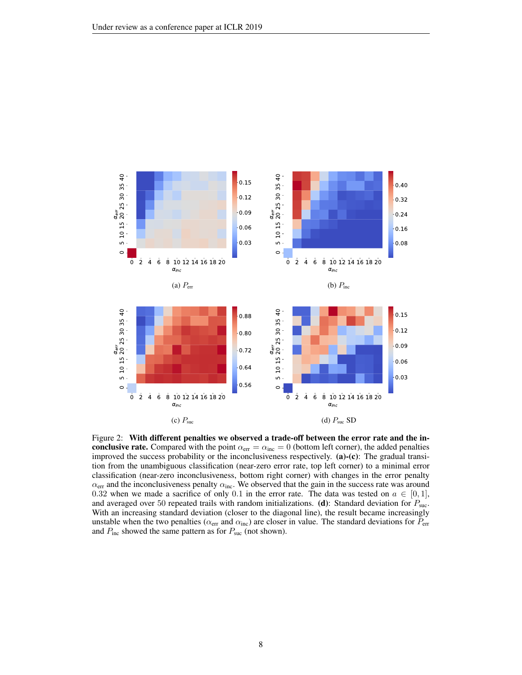

<span id="page-7-0"></span>Figure 2: With different penalties we observed a trade-off between the error rate and the inconclusive rate. Compared with the point  $\alpha_{\text{err}} = \alpha_{\text{inc}} = 0$  (bottom left corner), the added penalties improved the success probability or the inconclusiveness respectively. (a)-(c): The gradual transition from the unambiguous classification (near-zero error rate, top left corner) to a minimal error classification (near-zero inconclusiveness, bottom right corner) with changes in the error penalty  $\alpha_{\text{err}}$  and the inconclusiveness penalty  $\alpha_{\text{inc}}$ . We observed that the gain in the success rate was around 0.32 when we made a sacrifice of only 0.1 in the error rate. The data was tested on  $a \in [0,1]$ , and averaged over 50 repeated trails with random initializations. (d): Standard deviation for  $P_{\text{suc}}$ . With an increasing standard deviation (closer to the diagonal line), the result became increasingly unstable when the two penalties ( $\alpha_{\text{err}}$  and  $\alpha_{\text{inc}}$ ) are closer in value. The standard deviations for  $P_{\text{err}}$ and  $P_{\text{inc}}$  showed the same pattern as for  $P_{\text{succ}}$  (not shown).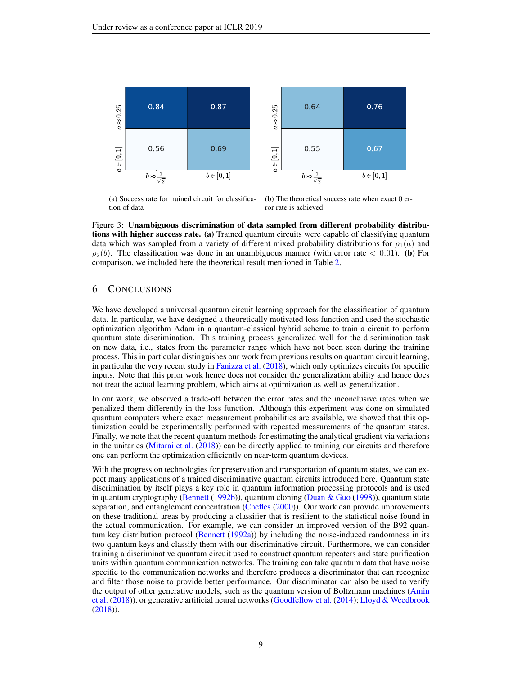

<span id="page-8-0"></span>(a) Success rate for trained circuit for classification of data

(b) The theoretical success rate when exact 0 error rate is achieved.

Figure 3: Unambiguous discrimination of data sampled from different probability distributions with higher success rate. (a) Trained quantum circuits were capable of classifying quantum data which was sampled from a variety of different mixed probability distributions for  $\rho_1(a)$  and  $\rho_2(b)$ . The classification was done in an unambiguous manner (with error rate < 0.01). (b) For comparison, we included here the theoretical result mentioned in Table [2.](#page-5-0)

# 6 CONCLUSIONS

We have developed a universal quantum circuit learning approach for the classification of quantum data. In particular, we have designed a theoretically motivated loss function and used the stochastic optimization algorithm Adam in a quantum-classical hybrid scheme to train a circuit to perform quantum state discrimination. This training process generalized well for the discrimination task on new data, i.e., states from the parameter range which have not been seen during the training process. This in particular distinguishes our work from previous results on quantum circuit learning, in particular the very recent study in [Fanizza et al.](#page-9-11) [\(2018\)](#page-9-11), which only optimizes circuits for specific inputs. Note that this prior work hence does not consider the generalization ability and hence does not treat the actual learning problem, which aims at optimization as well as generalization.

In our work, we observed a trade-off between the error rates and the inconclusive rates when we penalized them differently in the loss function. Although this experiment was done on simulated quantum computers where exact measurement probabilities are available, we showed that this optimization could be experimentally performed with repeated measurements of the quantum states. Finally, we note that the recent quantum methods for estimating the analytical gradient via variations in the unitaries [\(Mitarai et al.](#page-10-5) [\(2018\)](#page-10-5)) can be directly applied to training our circuits and therefore one can perform the optimization efficiently on near-term quantum devices.

With the progress on technologies for preservation and transportation of quantum states, we can expect many applications of a trained discriminative quantum circuits introduced here. Quantum state discrimination by itself plays a key role in quantum information processing protocols and is used in quantum cryptography [\(Bennett](#page-9-12) [\(1992b\)](#page-9-12)), quantum cloning [\(Duan & Guo](#page-9-13) [\(1998\)](#page-9-13)), quantum state separation, and entanglement concentration [\(Chefles](#page-9-14) [\(2000\)](#page-9-14)). Our work can provide improvements on these traditional areas by producing a classifier that is resilient to the statistical noise found in the actual communication. For example, we can consider an improved version of the B92 quantum key distribution protocol [\(Bennett](#page-9-5) [\(1992a\)](#page-9-5)) by including the noise-induced randomness in its two quantum keys and classify them with our discriminative circuit. Furthermore, we can consider training a discriminative quantum circuit used to construct quantum repeaters and state purification units within quantum communication networks. The training can take quantum data that have noise specific to the communication networks and therefore produces a discriminator that can recognize and filter those noise to provide better performance. Our discriminator can also be used to verify the output of other generative models, such as the quantum version of Boltzmann machines [\(Amin](#page-9-15) [et al.](#page-9-15) [\(2018\)](#page-9-15)), or generative artificial neural networks [\(Goodfellow et al.](#page-9-16) [\(2014\)](#page-9-16); [Lloyd & Weedbrook](#page-10-11) [\(2018\)](#page-10-11)).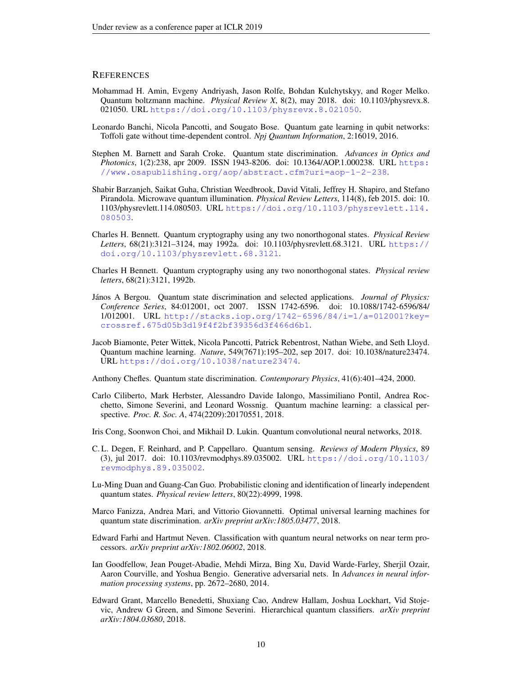## **REFERENCES**

- <span id="page-9-15"></span>Mohammad H. Amin, Evgeny Andriyash, Jason Rolfe, Bohdan Kulchytskyy, and Roger Melko. Quantum boltzmann machine. *Physical Review X*, 8(2), may 2018. doi: 10.1103/physrevx.8. 021050. URL <https://doi.org/10.1103/physrevx.8.021050>.
- <span id="page-9-8"></span>Leonardo Banchi, Nicola Pancotti, and Sougato Bose. Quantum gate learning in qubit networks: Toffoli gate without time-dependent control. *Npj Quantum Information*, 2:16019, 2016.
- <span id="page-9-6"></span>Stephen M. Barnett and Sarah Croke. Quantum state discrimination. *Advances in Optics and Photonics*, 1(2):238, apr 2009. ISSN 1943-8206. doi: 10.1364/AOP.1.000238. URL [https:](https://www.osapublishing.org/aop/abstract.cfm?uri=aop-1-2-238) [//www.osapublishing.org/aop/abstract.cfm?uri=aop-1-2-238](https://www.osapublishing.org/aop/abstract.cfm?uri=aop-1-2-238).
- <span id="page-9-2"></span>Shabir Barzanjeh, Saikat Guha, Christian Weedbrook, David Vitali, Jeffrey H. Shapiro, and Stefano Pirandola. Microwave quantum illumination. *Physical Review Letters*, 114(8), feb 2015. doi: 10. 1103/physrevlett.114.080503. URL [https://doi.org/10.1103/physrevlett.114.](https://doi.org/10.1103/physrevlett.114.080503) [080503](https://doi.org/10.1103/physrevlett.114.080503).
- <span id="page-9-5"></span>Charles H. Bennett. Quantum cryptography using any two nonorthogonal states. *Physical Review Letters*, 68(21):3121–3124, may 1992a. doi: 10.1103/physrevlett.68.3121. URL [https://](https://doi.org/10.1103/physrevlett.68.3121) [doi.org/10.1103/physrevlett.68.3121](https://doi.org/10.1103/physrevlett.68.3121).
- <span id="page-9-12"></span>Charles H Bennett. Quantum cryptography using any two nonorthogonal states. *Physical review letters*, 68(21):3121, 1992b.
- <span id="page-9-7"></span>Janos A Bergou. Quantum state discrimination and selected applications. ´ *Journal of Physics: Conference Series*, 84:012001, oct 2007. ISSN 1742-6596. doi: 10.1088/1742-6596/84/ 1/012001. URL [http://stacks.iop.org/1742-6596/84/i=1/a=012001?key=](http://stacks.iop.org/1742-6596/84/i=1/a=012001?key=crossref.675d05b3d19f4f2bf39356d3f466d6b1) [crossref.675d05b3d19f4f2bf39356d3f466d6b1](http://stacks.iop.org/1742-6596/84/i=1/a=012001?key=crossref.675d05b3d19f4f2bf39356d3f466d6b1).
- <span id="page-9-0"></span>Jacob Biamonte, Peter Wittek, Nicola Pancotti, Patrick Rebentrost, Nathan Wiebe, and Seth Lloyd. Quantum machine learning. *Nature*, 549(7671):195–202, sep 2017. doi: 10.1038/nature23474. URL <https://doi.org/10.1038/nature23474>.
- <span id="page-9-14"></span>Anthony Chefles. Quantum state discrimination. *Contemporary Physics*, 41(6):401–424, 2000.
- <span id="page-9-1"></span>Carlo Ciliberto, Mark Herbster, Alessandro Davide Ialongo, Massimiliano Pontil, Andrea Rocchetto, Simone Severini, and Leonard Wossnig. Quantum machine learning: a classical perspective. *Proc. R. Soc. A*, 474(2209):20170551, 2018.
- <span id="page-9-4"></span>Iris Cong, Soonwon Choi, and Mikhail D. Lukin. Quantum convolutional neural networks, 2018.
- <span id="page-9-3"></span>C. L. Degen, F. Reinhard, and P. Cappellaro. Quantum sensing. *Reviews of Modern Physics*, 89 (3), jul 2017. doi: 10.1103/revmodphys.89.035002. URL [https://doi.org/10.1103/](https://doi.org/10.1103/revmodphys.89.035002) [revmodphys.89.035002](https://doi.org/10.1103/revmodphys.89.035002).
- <span id="page-9-13"></span>Lu-Ming Duan and Guang-Can Guo. Probabilistic cloning and identification of linearly independent quantum states. *Physical review letters*, 80(22):4999, 1998.
- <span id="page-9-11"></span>Marco Fanizza, Andrea Mari, and Vittorio Giovannetti. Optimal universal learning machines for quantum state discrimination. *arXiv preprint arXiv:1805.03477*, 2018.
- <span id="page-9-9"></span>Edward Farhi and Hartmut Neven. Classification with quantum neural networks on near term processors. *arXiv preprint arXiv:1802.06002*, 2018.
- <span id="page-9-16"></span>Ian Goodfellow, Jean Pouget-Abadie, Mehdi Mirza, Bing Xu, David Warde-Farley, Sherjil Ozair, Aaron Courville, and Yoshua Bengio. Generative adversarial nets. In *Advances in neural information processing systems*, pp. 2672–2680, 2014.
- <span id="page-9-10"></span>Edward Grant, Marcello Benedetti, Shuxiang Cao, Andrew Hallam, Joshua Lockhart, Vid Stojevic, Andrew G Green, and Simone Severini. Hierarchical quantum classifiers. *arXiv preprint arXiv:1804.03680*, 2018.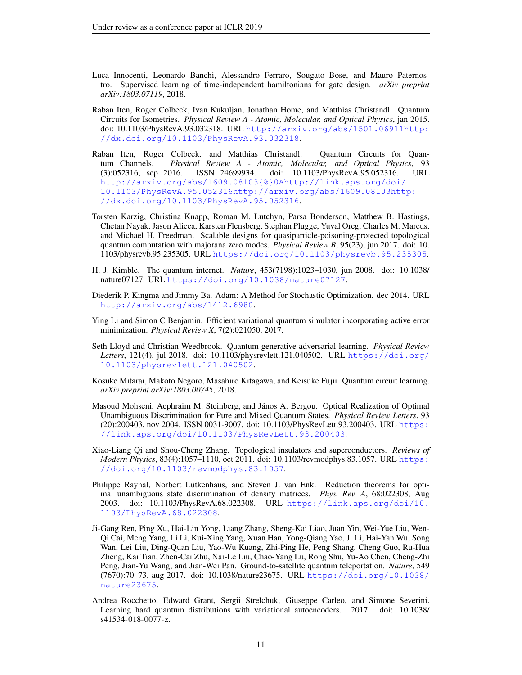- <span id="page-10-4"></span>Luca Innocenti, Leonardo Banchi, Alessandro Ferraro, Sougato Bose, and Mauro Paternostro. Supervised learning of time-independent hamiltonians for gate design. *arXiv preprint arXiv:1803.07119*, 2018.
- <span id="page-10-12"></span>Raban Iten, Roger Colbeck, Ivan Kukuljan, Jonathan Home, and Matthias Christandl. Quantum Circuits for Isometries. *Physical Review A - Atomic, Molecular, and Optical Physics*, jan 2015. doi: 10.1103/PhysRevA.93.032318. URL [http://arxiv.org/abs/1501.06911http:](http://arxiv.org/abs/1501.06911 http://dx.doi.org/10.1103/PhysRevA.93.032318) [//dx.doi.org/10.1103/PhysRevA.93.032318](http://arxiv.org/abs/1501.06911 http://dx.doi.org/10.1103/PhysRevA.93.032318).
- <span id="page-10-13"></span>Raban Iten, Roger Colbeck, and Matthias Christandl. Quantum Circuits for Quantum Channels. *Physical Review A - Atomic, Molecular, and Optical Physics*, 93 (3):052316, sep 2016. ISSN 24699934. doi: 10.1103/PhysRevA.95.052316. URL [http://arxiv.org/abs/1609.08103{%}0Ahttp://link.aps.org/doi/](http://arxiv.org/abs/1609.08103{%}0Ahttp://link.aps.org/doi/10.1103/PhysRevA.95.052316 http://arxiv.org/abs/1609.08103 http://dx.doi.org/10.1103/PhysRevA.95.052316) [10.1103/PhysRevA.95.052316http://arxiv.org/abs/1609.08103http:](http://arxiv.org/abs/1609.08103{%}0Ahttp://link.aps.org/doi/10.1103/PhysRevA.95.052316 http://arxiv.org/abs/1609.08103 http://dx.doi.org/10.1103/PhysRevA.95.052316) [//dx.doi.org/10.1103/PhysRevA.95.052316](http://arxiv.org/abs/1609.08103{%}0Ahttp://link.aps.org/doi/10.1103/PhysRevA.95.052316 http://arxiv.org/abs/1609.08103 http://dx.doi.org/10.1103/PhysRevA.95.052316).
- <span id="page-10-1"></span>Torsten Karzig, Christina Knapp, Roman M. Lutchyn, Parsa Bonderson, Matthew B. Hastings, Chetan Nayak, Jason Alicea, Karsten Flensberg, Stephan Plugge, Yuval Oreg, Charles M. Marcus, and Michael H. Freedman. Scalable designs for quasiparticle-poisoning-protected topological quantum computation with majorana zero modes. *Physical Review B*, 95(23), jun 2017. doi: 10. 1103/physrevb.95.235305. URL <https://doi.org/10.1103/physrevb.95.235305>.
- <span id="page-10-2"></span>H. J. Kimble. The quantum internet. *Nature*, 453(7198):1023–1030, jun 2008. doi: 10.1038/ nature07127. URL <https://doi.org/10.1038/nature07127>.
- <span id="page-10-8"></span>Diederik P. Kingma and Jimmy Ba. Adam: A Method for Stochastic Optimization. dec 2014. URL <http://arxiv.org/abs/1412.6980>.
- <span id="page-10-6"></span>Ying Li and Simon C Benjamin. Efficient variational quantum simulator incorporating active error minimization. *Physical Review X*, 7(2):021050, 2017.
- <span id="page-10-11"></span>Seth Lloyd and Christian Weedbrook. Quantum generative adversarial learning. *Physical Review Letters*, 121(4), jul 2018. doi: 10.1103/physrevlett.121.040502. URL [https://doi.org/](https://doi.org/10.1103/physrevlett.121.040502) [10.1103/physrevlett.121.040502](https://doi.org/10.1103/physrevlett.121.040502).
- <span id="page-10-5"></span>Kosuke Mitarai, Makoto Negoro, Masahiro Kitagawa, and Keisuke Fujii. Quantum circuit learning. *arXiv preprint arXiv:1803.00745*, 2018.
- <span id="page-10-7"></span>Masoud Mohseni, Aephraim M. Steinberg, and János A. Bergou. Optical Realization of Optimal Unambiguous Discrimination for Pure and Mixed Quantum States. *Physical Review Letters*, 93 (20):200403, nov 2004. ISSN 0031-9007. doi: 10.1103/PhysRevLett.93.200403. URL [https:](https://link.aps.org/doi/10.1103/PhysRevLett.93.200403) [//link.aps.org/doi/10.1103/PhysRevLett.93.200403](https://link.aps.org/doi/10.1103/PhysRevLett.93.200403).
- <span id="page-10-0"></span>Xiao-Liang Qi and Shou-Cheng Zhang. Topological insulators and superconductors. *Reviews of Modern Physics*, 83(4):1057–1110, oct 2011. doi: 10.1103/revmodphys.83.1057. URL [https:](https://doi.org/10.1103/revmodphys.83.1057) [//doi.org/10.1103/revmodphys.83.1057](https://doi.org/10.1103/revmodphys.83.1057).
- <span id="page-10-9"></span>Philippe Raynal, Norbert Lütkenhaus, and Steven J. van Enk. Reduction theorems for optimal unambiguous state discrimination of density matrices. *Phys. Rev. A*, 68:022308, Aug 2003. doi: 10.1103/PhysRevA.68.022308. URL [https://link.aps.org/doi/10.](https://link.aps.org/doi/10.1103/PhysRevA.68.022308) [1103/PhysRevA.68.022308](https://link.aps.org/doi/10.1103/PhysRevA.68.022308).
- <span id="page-10-3"></span>Ji-Gang Ren, Ping Xu, Hai-Lin Yong, Liang Zhang, Sheng-Kai Liao, Juan Yin, Wei-Yue Liu, Wen-Qi Cai, Meng Yang, Li Li, Kui-Xing Yang, Xuan Han, Yong-Qiang Yao, Ji Li, Hai-Yan Wu, Song Wan, Lei Liu, Ding-Quan Liu, Yao-Wu Kuang, Zhi-Ping He, Peng Shang, Cheng Guo, Ru-Hua Zheng, Kai Tian, Zhen-Cai Zhu, Nai-Le Liu, Chao-Yang Lu, Rong Shu, Yu-Ao Chen, Cheng-Zhi Peng, Jian-Yu Wang, and Jian-Wei Pan. Ground-to-satellite quantum teleportation. *Nature*, 549 (7670):70–73, aug 2017. doi: 10.1038/nature23675. URL [https://doi.org/10.1038/](https://doi.org/10.1038/nature23675) [nature23675](https://doi.org/10.1038/nature23675).
- <span id="page-10-10"></span>Andrea Rocchetto, Edward Grant, Sergii Strelchuk, Giuseppe Carleo, and Simone Severini. Learning hard quantum distributions with variational autoencoders. 2017. doi: 10.1038/ s41534-018-0077-z.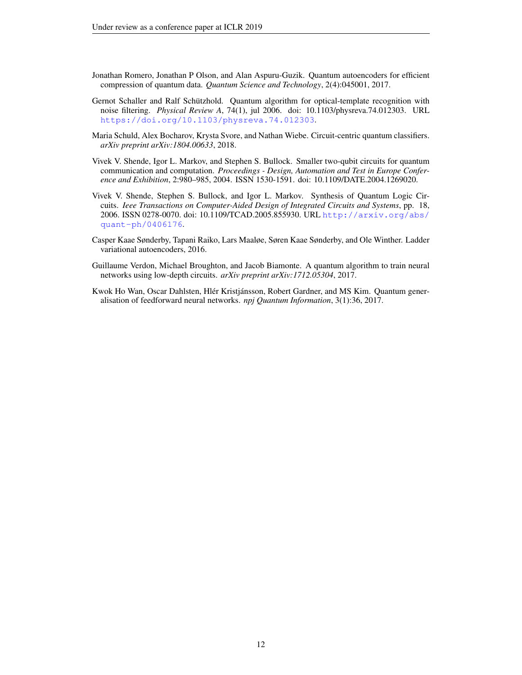- <span id="page-11-2"></span>Jonathan Romero, Jonathan P Olson, and Alan Aspuru-Guzik. Quantum autoencoders for efficient compression of quantum data. *Quantum Science and Technology*, 2(4):045001, 2017.
- <span id="page-11-0"></span>Gernot Schaller and Ralf Schützhold. Quantum algorithm for optical-template recognition with noise filtering. *Physical Review A*, 74(1), jul 2006. doi: 10.1103/physreva.74.012303. URL <https://doi.org/10.1103/physreva.74.012303>.
- <span id="page-11-4"></span>Maria Schuld, Alex Bocharov, Krysta Svore, and Nathan Wiebe. Circuit-centric quantum classifiers. *arXiv preprint arXiv:1804.00633*, 2018.
- <span id="page-11-7"></span>Vivek V. Shende, Igor L. Markov, and Stephen S. Bullock. Smaller two-qubit circuits for quantum communication and computation. *Proceedings - Design, Automation and Test in Europe Conference and Exhibition*, 2:980–985, 2004. ISSN 1530-1591. doi: 10.1109/DATE.2004.1269020.
- <span id="page-11-6"></span>Vivek V. Shende, Stephen S. Bullock, and Igor L. Markov. Synthesis of Quantum Logic Circuits. *Ieee Transactions on Computer-Aided Design of Integrated Circuits and Systems*, pp. 18, 2006. ISSN 0278-0070. doi: 10.1109/TCAD.2005.855930. URL [http://arxiv.org/abs/](http://arxiv.org/abs/quant-ph/0406176) [quant-ph/0406176](http://arxiv.org/abs/quant-ph/0406176).
- <span id="page-11-5"></span>Casper Kaae Sønderby, Tapani Raiko, Lars Maaløe, Søren Kaae Sønderby, and Ole Winther. Ladder variational autoencoders, 2016.
- <span id="page-11-3"></span>Guillaume Verdon, Michael Broughton, and Jacob Biamonte. A quantum algorithm to train neural networks using low-depth circuits. *arXiv preprint arXiv:1712.05304*, 2017.
- <span id="page-11-1"></span>Kwok Ho Wan, Oscar Dahlsten, Hlér Kristjánsson, Robert Gardner, and MS Kim. Quantum generalisation of feedforward neural networks. *npj Quantum Information*, 3(1):36, 2017.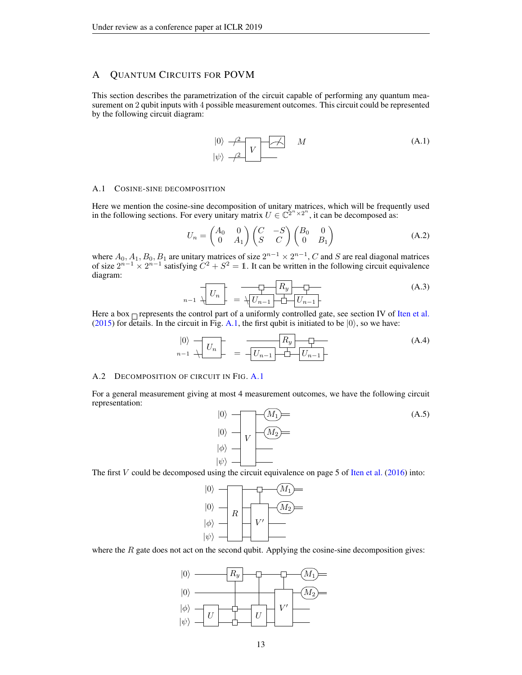# <span id="page-12-0"></span>A QUANTUM CIRCUITS FOR POVM

This section describes the parametrization of the circuit capable of performing any quantum measurement on 2 qubit inputs with 4 possible measurement outcomes. This circuit could be represented by the following circuit diagram:

<span id="page-12-1"></span>

#### A.1 COSINE-SINE DECOMPOSITION

Here we mention the cosine-sine decomposition of unitary matrices, which will be frequently used in the following sections. For every unitary matrix  $U \in \mathbb{C}^{2^n \times 2^n}$ , it can be decomposed as:

$$
U_n = \begin{pmatrix} A_0 & 0 \\ 0 & A_1 \end{pmatrix} \begin{pmatrix} C & -S \\ S & C \end{pmatrix} \begin{pmatrix} B_0 & 0 \\ 0 & B_1 \end{pmatrix}
$$
 (A.2)

where  $A_0, A_1, B_0, B_1$  are unitary matrices of size  $2^{n-1} \times 2^{n-1}$ , C and S are real diagonal matrices of size  $2^{n-1} \times 2^{n-1}$  satisfying  $C^2 + S^2 = \mathbb{1}$ . It can be written in the following circuit equivalence diagram:

$$
n-1 \quad \overline{\bigcup_{n-1} U_n} = \overline{\bigcup_{n-1} U_{n-1}} \overline{\bigcup_{n-1} U_{n-1}} \tag{A.3}
$$

Here a box  $\Gamma$  represents the control part of a uniformly controlled gate, see section IV of [Iten et al.](#page-10-12) [\(2015\)](#page-10-12) for details. In the circuit in Fig. [A.1,](#page-12-1) the first qubit is initiated to be  $|0\rangle$ , so we have:

$$
\begin{array}{c}\n\vert 0 \rangle \\
\hline\nn-1 \end{array}\n\leftarrow U_n \qquad \qquad \overline{\qquad \qquad } = \overline{\qquad \qquad } \begin{array}{c}\n\hline \\
\hline\nL_{n-1} \\
\hline\n\end{array}\n\right\}
$$
\n
$$
(A.4)
$$

#### A.2 DECOMPOSITION OF CIRCUIT IN FIG. [A.1](#page-12-1)

For a general measurement giving at most 4 measurement outcomes, we have the following circuit representation:



The first V could be decomposed using the circuit equivalence on page 5 of [Iten et al.](#page-10-13) [\(2016\)](#page-10-13) into:



where the  $R$  gate does not act on the second qubit. Applying the cosine-sine decomposition gives:

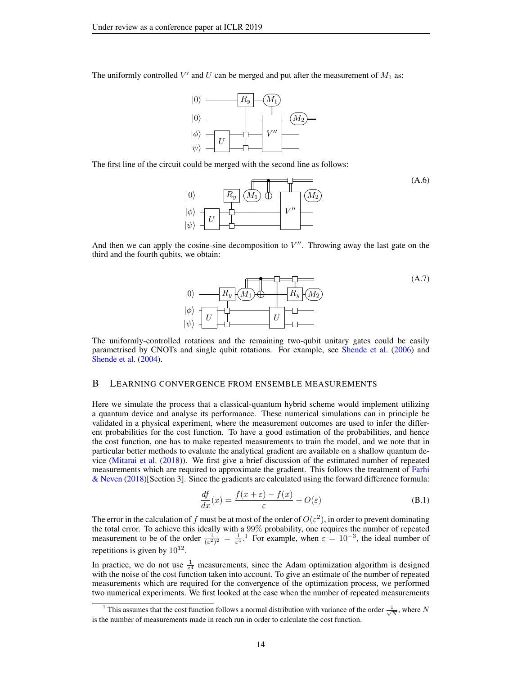The uniformly controlled  $V'$  and  $U$  can be merged and put after the measurement of  $M_1$  as:



The first line of the circuit could be merged with the second line as follows:



And then we can apply the cosine-sine decomposition to  $V''$ . Throwing away the last gate on the third and the fourth qubits, we obtain:



(A.6)

The uniformly-controlled rotations and the remaining two-qubit unitary gates could be easily parametrised by CNOTs and single qubit rotations. For example, see [Shende et al.](#page-11-6) [\(2006\)](#page-11-6) and [Shende et al.](#page-11-7) [\(2004\)](#page-11-7).

#### <span id="page-13-0"></span>B LEARNING CONVERGENCE FROM ENSEMBLE MEASUREMENTS

Here we simulate the process that a classical-quantum hybrid scheme would implement utilizing a quantum device and analyse its performance. These numerical simulations can in principle be validated in a physical experiment, where the measurement outcomes are used to infer the different probabilities for the cost function. To have a good estimation of the probabilities, and hence the cost function, one has to make repeated measurements to train the model, and we note that in particular better methods to evaluate the analytical gradient are available on a shallow quantum device [\(Mitarai et al.](#page-10-5) [\(2018\)](#page-10-5)). We first give a brief discussion of the estimated number of repeated measurements which are required to approximate the gradient. This follows the treatment of [Farhi](#page-9-9) [& Neven](#page-9-9) [\(2018\)](#page-9-9)[Section 3]. Since the gradients are calculated using the forward difference formula:

$$
\frac{df}{dx}(x) = \frac{f(x+\varepsilon) - f(x)}{\varepsilon} + O(\varepsilon)
$$
\n(B.1)

The error in the calculation of f must be at most of the order of  $O(\varepsilon^2)$ , in order to prevent dominating the total error. To achieve this ideally with a 99% probability, one requires the number of repeated measurement to be of the order  $\frac{1}{(\epsilon^2)^2} = \frac{1}{\epsilon^4}$  $\frac{1}{(\epsilon^2)^2} = \frac{1}{\epsilon^4}$  $\frac{1}{(\epsilon^2)^2} = \frac{1}{\epsilon^4}$ .<sup>1</sup> For example, when  $\epsilon = 10^{-3}$ , the ideal number of repetitions is given by  $10^{12}$ .

In practice, we do not use  $\frac{1}{\epsilon^4}$  measurements, since the Adam optimization algorithm is designed with the noise of the cost function taken into account. To give an estimate of the number of repeated measurements which are required for the convergence of the optimization process, we performed two numerical experiments. We first looked at the case when the number of repeated measurements

<span id="page-13-1"></span><sup>&</sup>lt;sup>1</sup> This assumes that the cost function follows a normal distribution with variance of the order  $\frac{1}{\sqrt{N}}$ , where N is the number of measurements made in reach run in order to calculate the cost function.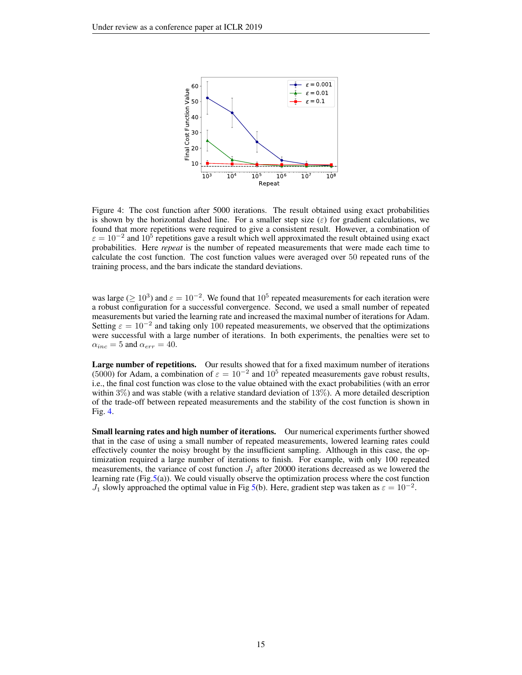

<span id="page-14-0"></span>Figure 4: The cost function after 5000 iterations. The result obtained using exact probabilities is shown by the horizontal dashed line. For a smaller step size  $(\varepsilon)$  for gradient calculations, we found that more repetitions were required to give a consistent result. However, a combination of  $\varepsilon = 10^{-2}$  and  $10^5$  repetitions gave a result which well approximated the result obtained using exact probabilities. Here *repeat* is the number of repeated measurements that were made each time to calculate the cost function. The cost function values were averaged over 50 repeated runs of the training process, and the bars indicate the standard deviations.

was large ( $\geq 10^3$ ) and  $\varepsilon = 10^{-2}$ . We found that  $10^5$  repeated measurements for each iteration were a robust configuration for a successful convergence. Second, we used a small number of repeated measurements but varied the learning rate and increased the maximal number of iterations for Adam. Setting  $\varepsilon = 10^{-2}$  and taking only 100 repeated measurements, we observed that the optimizations were successful with a large number of iterations. In both experiments, the penalties were set to  $\alpha_{inc} = 5$  and  $\alpha_{err} = 40$ .

Large number of repetitions. Our results showed that for a fixed maximum number of iterations (5000) for Adam, a combination of  $\varepsilon = 10^{-2}$  and  $10^5$  repeated measurements gave robust results, i.e., the final cost function was close to the value obtained with the exact probabilities (with an error within  $3\%$ ) and was stable (with a relative standard deviation of  $13\%$ ). A more detailed description of the trade-off between repeated measurements and the stability of the cost function is shown in Fig. [4.](#page-14-0)

Small learning rates and high number of iterations. Our numerical experiments further showed that in the case of using a small number of repeated measurements, lowered learning rates could effectively counter the noisy brought by the insufficient sampling. Although in this case, the optimization required a large number of iterations to finish. For example, with only 100 repeated measurements, the variance of cost function  $J_1$  after 20000 iterations decreased as we lowered the learning rate (Fig[.5\(](#page-15-0)a)). We could visually observe the optimization process where the cost function  $J_1$  slowly approached the optimal value in Fig [5\(](#page-15-0)b). Here, gradient step was taken as  $\varepsilon = 10^{-2}$ .